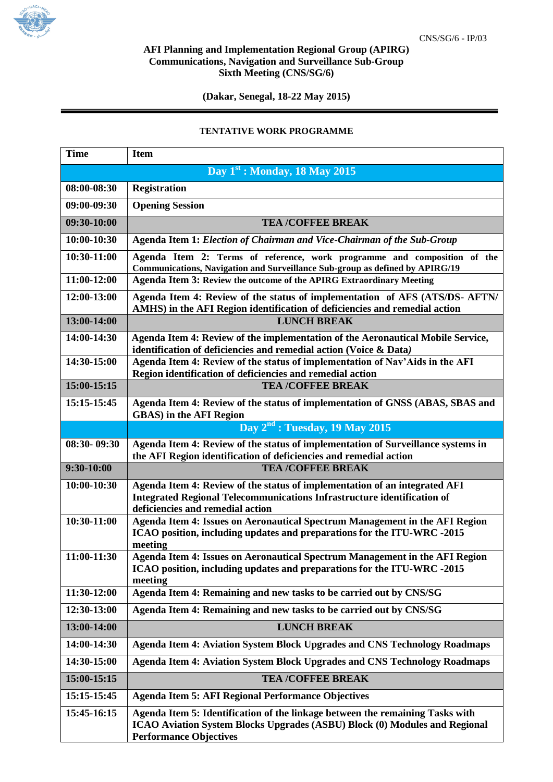

## **AFI Planning and Implementation Regional Group (APIRG) Communications, Navigation and Surveillance Sub-Group Sixth Meeting (CNS/SG/6)**

**(Dakar, Senegal, 18-22 May 2015)**

## **TENTATIVE WORK PROGRAMME**

| <b>Time</b> | <b>Item</b>                                                                                                                                                                                  |
|-------------|----------------------------------------------------------------------------------------------------------------------------------------------------------------------------------------------|
|             | Day $1st$ : Monday, 18 May 2015                                                                                                                                                              |
| 08:00-08:30 | <b>Registration</b>                                                                                                                                                                          |
| 09:00-09:30 | <b>Opening Session</b>                                                                                                                                                                       |
| 09:30-10:00 | <b>TEA /COFFEE BREAK</b>                                                                                                                                                                     |
| 10:00-10:30 | Agenda Item 1: Election of Chairman and Vice-Chairman of the Sub-Group                                                                                                                       |
| 10:30-11:00 | Agenda Item 2: Terms of reference, work programme and composition of the<br>Communications, Navigation and Surveillance Sub-group as defined by APIRG/19                                     |
| 11:00-12:00 | Agenda Item 3: Review the outcome of the APIRG Extraordinary Meeting                                                                                                                         |
| 12:00-13:00 | Agenda Item 4: Review of the status of implementation of AFS (ATS/DS- AFTN/<br>AMHS) in the AFI Region identification of deficiencies and remedial action                                    |
| 13:00-14:00 | <b>LUNCH BREAK</b>                                                                                                                                                                           |
| 14:00-14:30 | Agenda Item 4: Review of the implementation of the Aeronautical Mobile Service,<br>identification of deficiencies and remedial action (Voice & Data)                                         |
| 14:30-15:00 | Agenda Item 4: Review of the status of implementation of Nav'Aids in the AFI<br>Region identification of deficiencies and remedial action                                                    |
| 15:00-15:15 | <b>TEA /COFFEE BREAK</b>                                                                                                                                                                     |
| 15:15-15:45 | Agenda Item 4: Review of the status of implementation of GNSS (ABAS, SBAS and<br><b>GBAS</b> ) in the AFI Region                                                                             |
|             | Day 2 <sup>nd</sup> : Tuesday, 19 May 2015                                                                                                                                                   |
| 08:30-09:30 | Agenda Item 4: Review of the status of implementation of Surveillance systems in<br>the AFI Region identification of deficiencies and remedial action                                        |
| 9:30-10:00  | <b>TEA /COFFEE BREAK</b>                                                                                                                                                                     |
| 10:00-10:30 | Agenda Item 4: Review of the status of implementation of an integrated AFI<br>Integrated Regional Telecommunications Infrastructure identification of<br>deficiencies and remedial action    |
| 10:30-11:00 | Agenda Item 4: Issues on Aeronautical Spectrum Management in the AFI Region<br>ICAO position, including updates and preparations for the ITU-WRC -2015<br>meeting                            |
| 11:00-11:30 | Agenda Item 4: Issues on Aeronautical Spectrum Management in the AFI Region<br>ICAO position, including updates and preparations for the ITU-WRC -2015<br>meeting                            |
| 11:30-12:00 | Agenda Item 4: Remaining and new tasks to be carried out by CNS/SG                                                                                                                           |
| 12:30-13:00 | Agenda Item 4: Remaining and new tasks to be carried out by CNS/SG                                                                                                                           |
| 13:00-14:00 | <b>LUNCH BREAK</b>                                                                                                                                                                           |
| 14:00-14:30 | <b>Agenda Item 4: Aviation System Block Upgrades and CNS Technology Roadmaps</b>                                                                                                             |
| 14:30-15:00 | Agenda Item 4: Aviation System Block Upgrades and CNS Technology Roadmaps                                                                                                                    |
| 15:00-15:15 | <b>TEA /COFFEE BREAK</b>                                                                                                                                                                     |
| 15:15-15:45 | <b>Agenda Item 5: AFI Regional Performance Objectives</b>                                                                                                                                    |
| 15:45-16:15 | Agenda Item 5: Identification of the linkage between the remaining Tasks with<br>ICAO Aviation System Blocks Upgrades (ASBU) Block (0) Modules and Regional<br><b>Performance Objectives</b> |